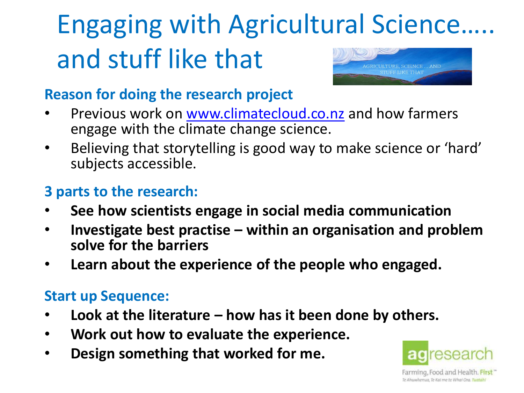### Engaging with Agricultural Science….. and stuff like that AND

#### **Reason for doing the research project**

- Previous work on [www.climatecloud.co.nz](http://www.climatecloud.co.nz/) and how farmers engage with the climate change science.
- Believing that storytelling is good way to make science or 'hard' subjects accessible.

### **3 parts to the research:**

- **See how scientists engage in social media communication**
- **Investigate best practise – within an organisation and problem solve for the barriers**
- **Learn about the experience of the people who engaged.**

#### **Start up Sequence:**

- **Look at the literature – how has it been done by others.**
- **Work out how to evaluate the experience.**
- **Design something that worked for me.**



Farming, Food and Health. First Te Ahuwheroug. Te Kal me te Whai Ora. Tugtah.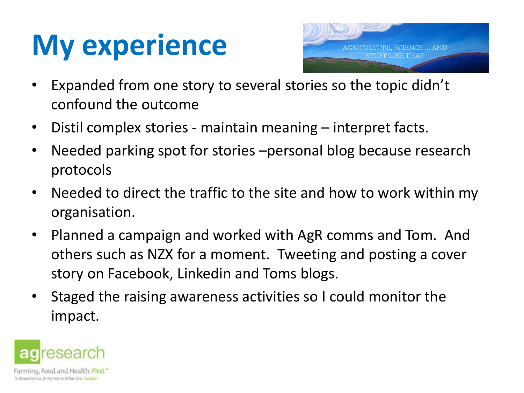## **My experience**



- Expanded from one story to several stories so the topic didn't confound the outcome
- Distil complex stories maintain meaning interpret facts.
- Needed parking spot for stories –personal blog because research protocols
- Needed to direct the traffic to the site and how to work within my organisation.
- Planned a campaign and worked with AgR comms and Tom. And others such as NZX for a moment. Tweeting and posting a cover story on Facebook, Linkedin and Toms blogs.
- Staged the raising awareness activities so I could monitor the impact.

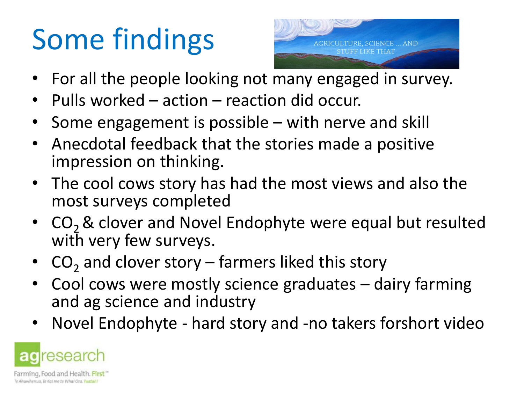# Some findings



- For all the people looking not many engaged in survey.
- Pulls worked action reaction did occur.
- Some engagement is possible with nerve and skill
- Anecdotal feedback that the stories made a positive impression on thinking.
- The cool cows story has had the most views and also the most surveys completed
- $CO<sub>2</sub>$  & clover and Novel Endophyte were equal but resulted with very few surveys.
- $CO_2$  and clover story farmers liked this story
- Cool cows were mostly science graduates dairy farming and ag science and industry
- Novel Endophyte hard story and -no takers forshort video